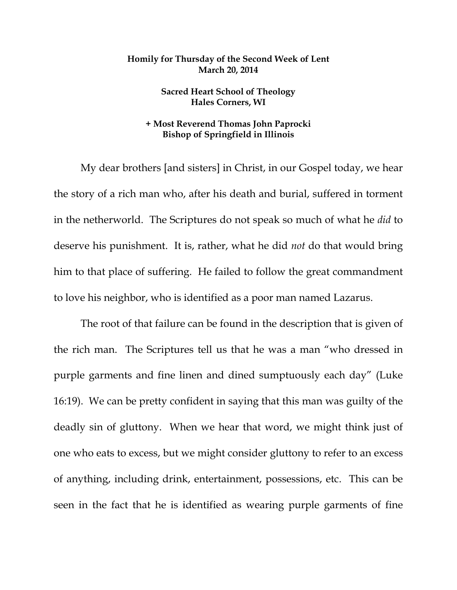## **Homily for Thursday of the Second Week of Lent March 20, 2014**

**Sacred Heart School of Theology Hales Corners, WI** 

## **+ Most Reverend Thomas John Paprocki Bishop of Springfield in Illinois**

My dear brothers [and sisters] in Christ, in our Gospel today, we hear the story of a rich man who, after his death and burial, suffered in torment in the netherworld. The Scriptures do not speak so much of what he *did* to deserve his punishment. It is, rather, what he did *not* do that would bring him to that place of suffering. He failed to follow the great commandment to love his neighbor, who is identified as a poor man named Lazarus.

The root of that failure can be found in the description that is given of the rich man. The Scriptures tell us that he was a man "who dressed in purple garments and fine linen and dined sumptuously each day" (Luke 16:19). We can be pretty confident in saying that this man was guilty of the deadly sin of gluttony. When we hear that word, we might think just of one who eats to excess, but we might consider gluttony to refer to an excess of anything, including drink, entertainment, possessions, etc. This can be seen in the fact that he is identified as wearing purple garments of fine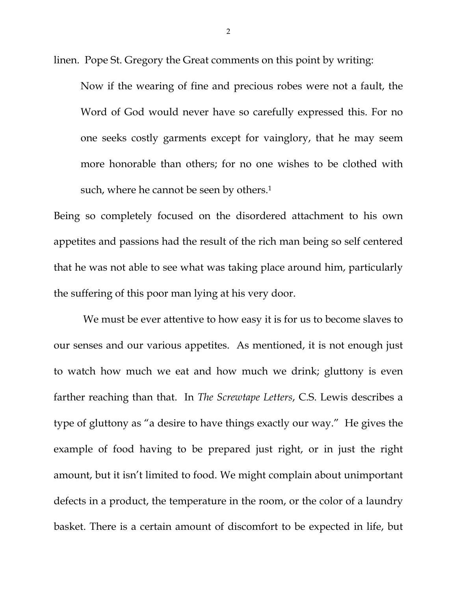linen. Pope St. Gregory the Great comments on this point by writing:

Now if the wearing of fine and precious robes were not a fault, the Word of God would never have so carefully expressed this. For no one seeks costly garments except for vainglory, that he may seem more honorable than others; for no one wishes to be clothed with such, where he cannot be seen by others.<sup>1</sup>

Being so completely focused on the disordered attachment to his own appetites and passions had the result of the rich man being so self centered that he was not able to see what was taking place around him, particularly the suffering of this poor man lying at his very door.

 We must be ever attentive to how easy it is for us to become slaves to our senses and our various appetites. As mentioned, it is not enough just to watch how much we eat and how much we drink; gluttony is even farther reaching than that. In *The Screwtape Letters*, C.S. Lewis describes a type of gluttony as "a desire to have things exactly our way." He gives the example of food having to be prepared just right, or in just the right amount, but it isn't limited to food. We might complain about unimportant defects in a product, the temperature in the room, or the color of a laundry basket. There is a certain amount of discomfort to be expected in life, but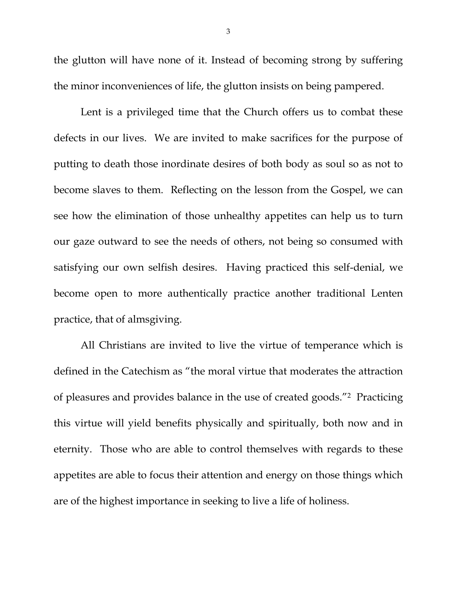the glutton will have none of it. Instead of becoming strong by suffering the minor inconveniences of life, the glutton insists on being pampered.

 Lent is a privileged time that the Church offers us to combat these defects in our lives. We are invited to make sacrifices for the purpose of putting to death those inordinate desires of both body as soul so as not to become slaves to them. Reflecting on the lesson from the Gospel, we can see how the elimination of those unhealthy appetites can help us to turn our gaze outward to see the needs of others, not being so consumed with satisfying our own selfish desires. Having practiced this self-denial, we become open to more authentically practice another traditional Lenten practice, that of almsgiving.

 All Christians are invited to live the virtue of temperance which is defined in the Catechism as "the moral virtue that moderates the attraction of pleasures and provides balance in the use of created goods."2 Practicing this virtue will yield benefits physically and spiritually, both now and in eternity. Those who are able to control themselves with regards to these appetites are able to focus their attention and energy on those things which are of the highest importance in seeking to live a life of holiness.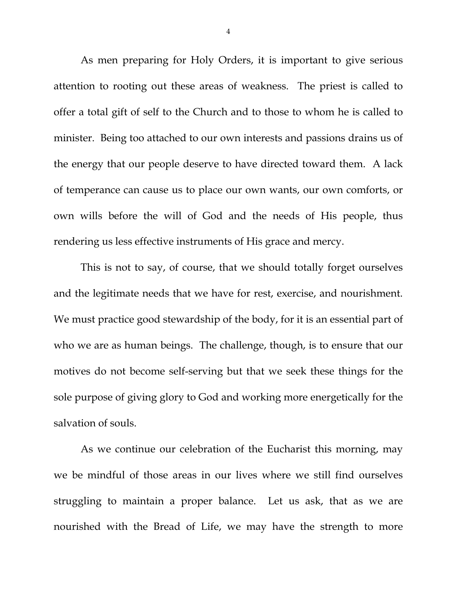As men preparing for Holy Orders, it is important to give serious attention to rooting out these areas of weakness. The priest is called to offer a total gift of self to the Church and to those to whom he is called to minister. Being too attached to our own interests and passions drains us of the energy that our people deserve to have directed toward them. A lack of temperance can cause us to place our own wants, our own comforts, or own wills before the will of God and the needs of His people, thus rendering us less effective instruments of His grace and mercy.

 This is not to say, of course, that we should totally forget ourselves and the legitimate needs that we have for rest, exercise, and nourishment. We must practice good stewardship of the body, for it is an essential part of who we are as human beings. The challenge, though, is to ensure that our motives do not become self-serving but that we seek these things for the sole purpose of giving glory to God and working more energetically for the salvation of souls.

 As we continue our celebration of the Eucharist this morning, may we be mindful of those areas in our lives where we still find ourselves struggling to maintain a proper balance. Let us ask, that as we are nourished with the Bread of Life, we may have the strength to more

4